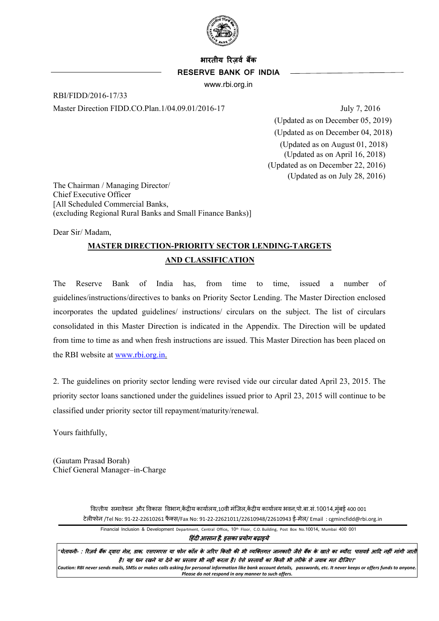

# **भारतीय �रज़वर् बक� RESERVE BANK OF INDIA**

www.rbi.org.in

RBI/FIDD/2016-17/33 Master Direction FIDD.CO.Plan.1/04.09.01/2016-17 July 7, 2016

(Updated as on December 05, 2019) (Updated as on December 04, 2018) (Updated as on August 01, 2018) (Updated as on April 16, 2018) (Updated as on December 22, 2016) (Updated as on July 28, 2016)

The Chairman / Managing Director/ Chief Executive Officer [All Scheduled Commercial Banks, (excluding Regional Rural Banks and Small Finance Banks)]

Dear Sir/ Madam,

# **MASTER DIRECTION-PRIORITY SECTOR LENDING-TARGETS AND CLASSIFICATION**

The Reserve Bank of India has, from time to time, issued a number of guidelines/instructions/directives to banks on Priority Sector Lending. The Master Direction enclosed incorporates the updated guidelines/ instructions/ circulars on the subject. The list of circulars consolidated in this Master Direction is indicated in the Appendix. The Direction will be updated from time to time as and when fresh instructions are issued. This Master Direction has been placed on the RBI website at [www.rbi.org.in.](http://www.rbi.org.in/)

2. The guidelines on priority sector lending were revised vide our circular dated April 23, 2015. The priority sector loans sanctioned under the guidelines issued prior to April 23, 2015 will continue to be classified under priority sector till repayment/maturity/renewal.

Yours faithfully,

(Gautam Prasad Borah) Chief General Manager–in-Charge

> वित्तीय समावेशन और विकास विभाग,केंद्रीय कार्यालय,10वी मंजिल,केंद्रीय कार्यालय भवन,पो.बा.सं.10014,मुंबई 400 001 टेल�फोन /Tel No: 91-22-22610261 फै क्स/Fax No: 91-22-22621011/22610948/22610943 ई-मेल/ Email : cgmincfidd@rbi.org.in

Financial Inclusion & Development Department, Central Office**,** 10th Floor, C.O. Building, Post Box No.10014**,** Mumbai 400 001

�हंद� आसान है*,* इसका प्रयोग बढ़ाइये

<sup>.</sup> चेतावनी- : रिज़र्व बैंक दवारा मेल, डाक, एसएमएस या फोन कॉल के जरिए किसी की भी व्यक्तगत जानकारी जैसे बैंक के खात<br>बतावनी- : रिज़र्व बैंक दवारा मेल, डाक, एसएमएस या फोन कॉल के जरिए किसी की भी व्यक्तिगत जानकारी जैसे बैंक के है। यह धन रखने या देने का प्रस्ताव भी नहीं करता है। ऐसे प्रस्तावों का किसी भी तरीके से जवाब मत दीजिए।"

*Caution: RBI never sends mails, SMSs or makes calls asking for personal information like bank account details, passwords, etc. It never keeps or offers funds to anyone. Please do not respond in any manner to such offers.*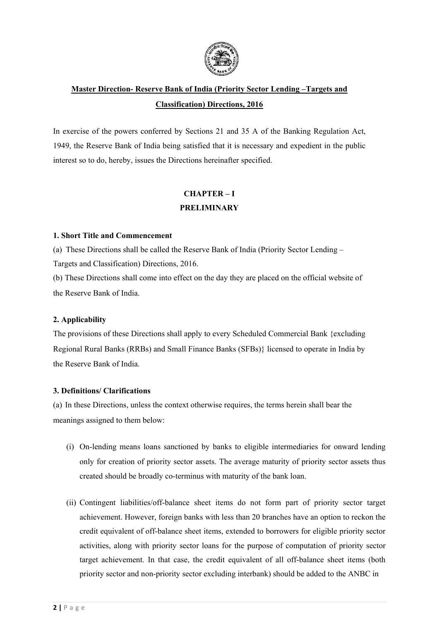

# **Master Direction- Reserve Bank of India (Priority Sector Lending –Targets and Classification) Directions, 2016**

In exercise of the powers conferred by Sections 21 and 35 A of the Banking Regulation Act, 1949, the Reserve Bank of India being satisfied that it is necessary and expedient in the public interest so to do, hereby, issues the Directions hereinafter specified.

# **CHAPTER – I PRELIMINARY**

## **1. Short Title and Commencement**

(a) These Directions shall be called the Reserve Bank of India (Priority Sector Lending – Targets and Classification) Directions, 2016.

(b) These Directions shall come into effect on the day they are placed on the official website of the Reserve Bank of India.

# **2. Applicability**

The provisions of these Directions shall apply to every Scheduled Commercial Bank {excluding Regional Rural Banks (RRBs) and Small Finance Banks (SFBs)} licensed to operate in India by the Reserve Bank of India.

# **3. Definitions/ Clarifications**

(a) In these Directions, unless the context otherwise requires, the terms herein shall bear the meanings assigned to them below:

- (i) On-lending means loans sanctioned by banks to eligible intermediaries for onward lending only for creation of priority sector assets. The average maturity of priority sector assets thus created should be broadly co-terminus with maturity of the bank loan.
- (ii) Contingent liabilities/off-balance sheet items do not form part of priority sector target achievement. However, foreign banks with less than 20 branches have an option to reckon the credit equivalent of off-balance sheet items, extended to borrowers for eligible priority sector activities, along with priority sector loans for the purpose of computation of priority sector target achievement. In that case, the credit equivalent of all off-balance sheet items (both priority sector and non-priority sector excluding interbank) should be added to the ANBC in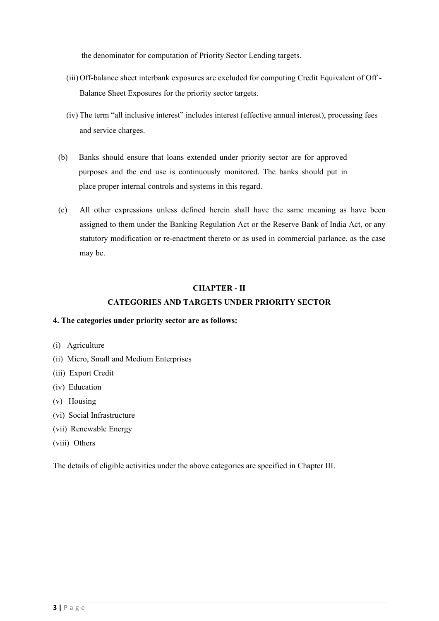the denominator for computation of Priority Sector Lending targets.

- (iii)Off-balance sheet interbank exposures are excluded for computing Credit Equivalent of Off Balance Sheet Exposures for the priority sector targets.
- (iv) The term "all inclusive interest" includes interest (effective annual interest), processing fees and service charges.
- (b) Banks should ensure that loans extended under priority sector are for approved purposes and the end use is continuously monitored. The banks should put in place proper internal controls and systems in this regard.
- (c) All other expressions unless defined herein shall have the same meaning as have been assigned to them under the Banking Regulation Act or the Reserve Bank of India Act, or any statutory modification or re-enactment thereto or as used in commercial parlance, as the case may be.

#### **CHAPTER - II**

# **CATEGORIES AND TARGETS UNDER PRIORITY SECTOR**

#### **4. The categories under priority sector are as follows:**

- (i) Agriculture
- (ii) Micro, Small and Medium Enterprises
- (iii) Export Credit
- (iv) Education
- (v) Housing
- (vi) Social Infrastructure
- (vii) Renewable Energy
- (viii) Others

The details of eligible activities under the above categories are specified in Chapter III.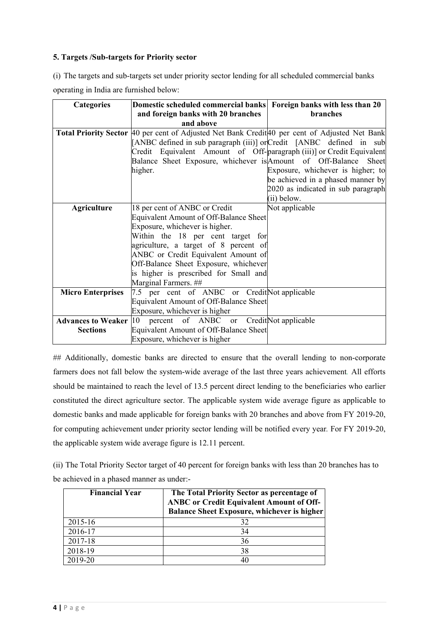# **5. Targets /Sub-targets for Priority sector**

(i) The targets and sub-targets set under priority sector lending for all scheduled commercial banks operating in India are furnished below:

| <b>Categories</b>        | Domestic scheduled commercial banks Foreign banks with less than 20                             |                                    |  |
|--------------------------|-------------------------------------------------------------------------------------------------|------------------------------------|--|
|                          | and foreign banks with 20 branches                                                              | <b>branches</b>                    |  |
|                          | and above                                                                                       |                                    |  |
|                          | Total Priority Sector  40 per cent of Adjusted Net Bank Credit 40 per cent of Adjusted Net Bank |                                    |  |
|                          | [ANBC defined in sub paragraph (iii)] or Credit [ANBC defined in sub                            |                                    |  |
|                          | Credit Equivalent Amount of Off-paragraph (iii)] or Credit Equivalent                           |                                    |  |
|                          | Balance Sheet Exposure, whichever is Amount of Off-Balance Sheet                                |                                    |  |
|                          | higher.                                                                                         | Exposure, whichever is higher; to  |  |
|                          |                                                                                                 | be achieved in a phased manner by  |  |
|                          |                                                                                                 | 2020 as indicated in sub paragraph |  |
|                          |                                                                                                 | (ii) below.                        |  |
| <b>Agriculture</b>       | 18 per cent of ANBC or Credit                                                                   | Not applicable                     |  |
|                          | Equivalent Amount of Off-Balance Sheet                                                          |                                    |  |
|                          | Exposure, whichever is higher.                                                                  |                                    |  |
|                          | Within the 18 per cent target for                                                               |                                    |  |
|                          | agriculture, a target of 8 percent of                                                           |                                    |  |
|                          | ANBC or Credit Equivalent Amount of                                                             |                                    |  |
|                          | Off-Balance Sheet Exposure, whichever                                                           |                                    |  |
|                          | is higher is prescribed for Small and                                                           |                                    |  |
|                          | Marginal Farmers. ##                                                                            |                                    |  |
| <b>Micro Enterprises</b> | 7.5 per cent of ANBC or Credit Not applicable                                                   |                                    |  |
|                          | Equivalent Amount of Off-Balance Sheet                                                          |                                    |  |
|                          | Exposure, whichever is higher                                                                   |                                    |  |
|                          | <b>Advances to Weaker</b> 10 percent of ANBC or Credit Not applicable                           |                                    |  |
| <b>Sections</b>          | Equivalent Amount of Off-Balance Sheet                                                          |                                    |  |
|                          | Exposure, whichever is higher                                                                   |                                    |  |

## Additionally, domestic banks are directed to ensure that the overall lending to non-corporate farmers does not fall below the system-wide average of the last three years achievement*.* All efforts should be maintained to reach the level of 13.5 percent direct lending to the beneficiaries who earlier constituted the direct agriculture sector. The applicable system wide average figure as applicable to domestic banks and made applicable for foreign banks with 20 branches and above from FY 2019-20, for computing achievement under priority sector lending will be notified every year*.* For FY 2019-20, the applicable system wide average figure is 12.11 percent.

(ii) The Total Priority Sector target of 40 percent for foreign banks with less than 20 branches has to be achieved in a phased manner as under:-

| <b>Financial Year</b> | The Total Priority Sector as percentage of<br><b>ANBC or Credit Equivalent Amount of Off-</b><br><b>Balance Sheet Exposure, whichever is higher</b> |
|-----------------------|-----------------------------------------------------------------------------------------------------------------------------------------------------|
| 2015-16               | 32                                                                                                                                                  |
| 2016-17               | 34                                                                                                                                                  |
| 2017-18               | 36                                                                                                                                                  |
| 2018-19               | 38                                                                                                                                                  |
| 2019-20               | 40                                                                                                                                                  |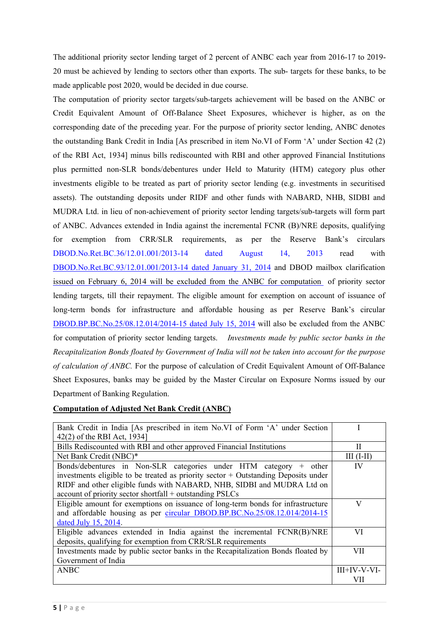The additional priority sector lending target of 2 percent of ANBC each year from 2016-17 to 2019- 20 must be achieved by lending to sectors other than exports. The sub- targets for these banks, to be made applicable post 2020, would be decided in due course.

The computation of priority sector targets/sub-targets achievement will be based on the ANBC or Credit Equivalent Amount of Off-Balance Sheet Exposures, whichever is higher, as on the corresponding date of the preceding year. For the purpose of priority sector lending, ANBC denotes the outstanding Bank Credit in India [As prescribed in item No.VI of Form 'A' under Section 42 (2) of the RBI Act, 1934] minus bills rediscounted with RBI and other approved Financial Institutions plus permitted non-SLR bonds/debentures under Held to Maturity (HTM) category plus other investments eligible to be treated as part of priority sector lending (e.g. investments in securitised assets). The outstanding deposits under RIDF and other funds with NABARD, NHB, SIDBI and MUDRA Ltd. in lieu of non-achievement of priority sector lending targets/sub-targets will form part of ANBC. Advances extended in India against the incremental FCNR (B)/NRE deposits, qualifying for exemption from CRR/SLR requirements, as per the Reserve Bank's circulars [DBOD.No.Ret.BC.36/12.01.001/2013-14 dated August 14, 2013 r](https://www.rbi.org.in/Scripts/NotificationUser.aspx?Id=8309&Mode=0)ead with [DBOD.No.Ret.BC.93/12.01.001/2013-14 dated January 31, 2014](https://www.rbi.org.in/Scripts/NotificationUser.aspx?Id=8726&Mode=0) and DBOD mailbox clarification issued on February 6, 2014 will be excluded from the ANBC for computation of priority sector lending targets, till their repayment. The eligible amount for exemption on account of issuance of long-term bonds for infrastructure and affordable housing as per Reserve Bank's circular [DBOD.BP.BC.No.25/08.12.014/2014-15 dated July 15, 2014](https://www.rbi.org.in/Scripts/NotificationUser.aspx?Id=9103&Mode=0) will also be excluded from the ANBC for computation of priority sector lending targets. *Investments made by public sector banks in the Recapitalization Bonds floated by Government of India will not be taken into account for the purpose of calculation of ANBC.* For the purpose of calculation of Credit Equivalent Amount of Off-Balance Sheet Exposures, banks may be guided by the Master Circular on Exposure Norms issued by our Department of Banking Regulation.

# **Computation of Adjusted Net Bank Credit (ANBC)**

| Bank Credit in India [As prescribed in item No.VI of Form 'A' under Section          |                |
|--------------------------------------------------------------------------------------|----------------|
| 42(2) of the RBI Act, 1934]                                                          |                |
| Bills Rediscounted with RBI and other approved Financial Institutions                | П              |
| Net Bank Credit (NBC)*                                                               | $III (I-II)$   |
| Bonds/debentures in Non-SLR categories under HTM category + other                    | IV             |
| investments eligible to be treated as priority sector $+$ Outstanding Deposits under |                |
| RIDF and other eligible funds with NABARD, NHB, SIDBI and MUDRA Ltd on               |                |
| account of priority sector shortfall + outstanding PSLCs                             |                |
| Eligible amount for exemptions on issuance of long-term bonds for infrastructure     | V              |
| and affordable housing as per circular DBOD.BP.BC.No.25/08.12.014/2014-15            |                |
| dated July 15, 2014.                                                                 |                |
| Eligible advances extended in India against the incremental FCNR(B)/NRE              | VI             |
| deposits, qualifying for exemption from CRR/SLR requirements                         |                |
| Investments made by public sector banks in the Recapitalization Bonds floated by     | VII            |
| Government of India                                                                  |                |
| <b>ANBC</b>                                                                          | $III+IV-V-VI-$ |
|                                                                                      | VH             |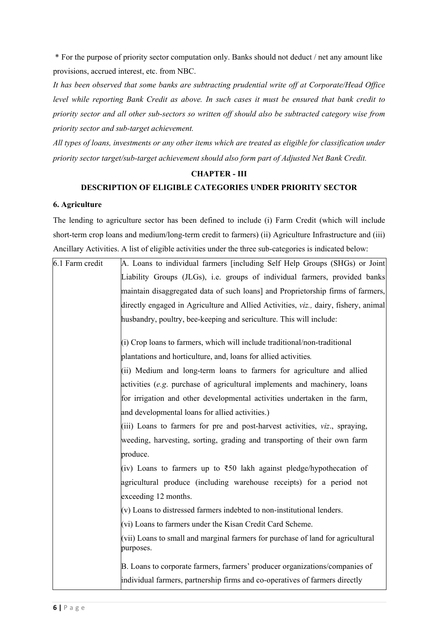\* For the purpose of priority sector computation only. Banks should not deduct / net any amount like provisions, accrued interest, etc. from NBC.

*It has been observed that some banks are subtracting prudential write off at Corporate/Head Office level while reporting Bank Credit as above. In such cases it must be ensured that bank credit to priority sector and all other sub-sectors so written off should also be subtracted category wise from priority sector and sub-target achievement.*

*All types of loans, investments or any other items which are treated as eligible for classification under priority sector target/sub-target achievement should also form part of Adjusted Net Bank Credit.*

## **CHAPTER - III**

#### **DESCRIPTION OF ELIGIBLE CATEGORIES UNDER PRIORITY SECTOR**

#### **6. Agriculture**

The lending to agriculture sector has been defined to include (i) Farm Credit (which will include short-term crop loans and medium/long-term credit to farmers) (ii) Agriculture Infrastructure and (iii) Ancillary Activities. A list of eligible activities under the three sub-categories is indicated below:

| 6.1 Farm credit | A. Loans to individual farmers [including Self Help Groups (SHGs) or Joint                   |
|-----------------|----------------------------------------------------------------------------------------------|
|                 | Liability Groups (JLGs), i.e. groups of individual farmers, provided banks                   |
|                 | maintain disaggregated data of such loans] and Proprietorship firms of farmers,              |
|                 | directly engaged in Agriculture and Allied Activities, viz., dairy, fishery, animal          |
|                 | husbandry, poultry, bee-keeping and sericulture. This will include:                          |
|                 | (i) Crop loans to farmers, which will include traditional/non-traditional                    |
|                 | plantations and horticulture, and, loans for allied activities.                              |
|                 | (ii) Medium and long-term loans to farmers for agriculture and allied                        |
|                 | activities (e.g. purchase of agricultural implements and machinery, loans                    |
|                 | for irrigation and other developmental activities undertaken in the farm,                    |
|                 | and developmental loans for allied activities.)                                              |
|                 | (iii) Loans to farmers for pre and post-harvest activities, <i>viz.</i> , spraying,          |
|                 | weeding, harvesting, sorting, grading and transporting of their own farm                     |
|                 | produce.                                                                                     |
|                 | (iv) Loans to farmers up to $\overline{\xi}50$ lakh against pledge/hypothecation of          |
|                 | agricultural produce (including warehouse receipts) for a period not                         |
|                 | exceeding 12 months.                                                                         |
|                 | $(v)$ Loans to distressed farmers indebted to non-institutional lenders.                     |
|                 | (vi) Loans to farmers under the Kisan Credit Card Scheme.                                    |
|                 | (vii) Loans to small and marginal farmers for purchase of land for agricultural<br>purposes. |
|                 | B. Loans to corporate farmers, farmers' producer organizations/companies of                  |
|                 | individual farmers, partnership firms and co-operatives of farmers directly                  |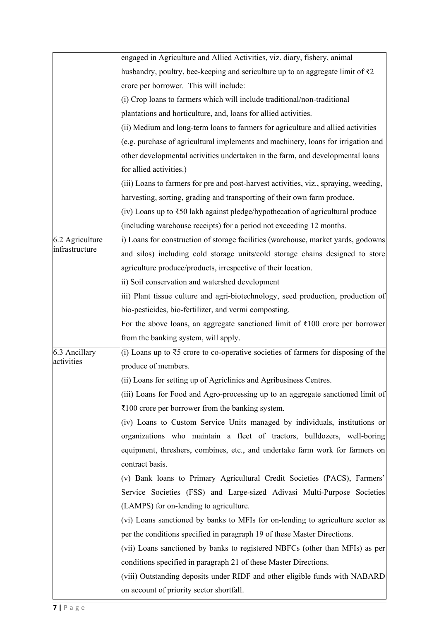|                 | engaged in Agriculture and Allied Activities, viz. diary, fishery, animal                 |  |  |
|-----------------|-------------------------------------------------------------------------------------------|--|--|
|                 | husbandry, poultry, bee-keeping and sericulture up to an aggregate limit of $\bar{\tau}2$ |  |  |
|                 | crore per borrower. This will include:                                                    |  |  |
|                 | (i) Crop loans to farmers which will include traditional/non-traditional                  |  |  |
|                 | plantations and horticulture, and, loans for allied activities.                           |  |  |
|                 | (ii) Medium and long-term loans to farmers for agriculture and allied activities          |  |  |
|                 | (e.g. purchase of agricultural implements and machinery, loans for irrigation and         |  |  |
|                 | other developmental activities undertaken in the farm, and developmental loans            |  |  |
|                 | for allied activities.)                                                                   |  |  |
|                 | (iii) Loans to farmers for pre and post-harvest activities, viz., spraying, weeding,      |  |  |
|                 | harvesting, sorting, grading and transporting of their own farm produce.                  |  |  |
|                 | (iv) Loans up to ₹50 lakh against pledge/hypothecation of agricultural produce            |  |  |
|                 | (including warehouse receipts) for a period not exceeding 12 months.                      |  |  |
| 6.2 Agriculture | i) Loans for construction of storage facilities (warehouse, market yards, godowns         |  |  |
| infrastructure  | and silos) including cold storage units/cold storage chains designed to store             |  |  |
|                 | agriculture produce/products, irrespective of their location.                             |  |  |
|                 | ii) Soil conservation and watershed development                                           |  |  |
|                 | iii) Plant tissue culture and agri-biotechnology, seed production, production of          |  |  |
|                 | bio-pesticides, bio-fertilizer, and vermi composting.                                     |  |  |
|                 | For the above loans, an aggregate sanctioned limit of $\bar{\tau}100$ crore per borrower  |  |  |
|                 | from the banking system, will apply.                                                      |  |  |
| 6.3 Ancillary   | (i) Loans up to $\xi$ 5 crore to co-operative societies of farmers for disposing of the   |  |  |
| activities      | produce of members.                                                                       |  |  |
|                 | (ii) Loans for setting up of Agriclinics and Agribusiness Centres.                        |  |  |
|                 | (iii) Loans for Food and Agro-processing up to an aggregate sanctioned limit of           |  |  |
|                 | $\overline{\xi}100$ crore per borrower from the banking system.                           |  |  |
|                 | (iv) Loans to Custom Service Units managed by individuals, institutions or                |  |  |
|                 | organizations who maintain a fleet of tractors, bulldozers, well-boring                   |  |  |
|                 | equipment, threshers, combines, etc., and undertake farm work for farmers on              |  |  |
|                 | contract basis.                                                                           |  |  |
|                 | (v) Bank loans to Primary Agricultural Credit Societies (PACS), Farmers'                  |  |  |
|                 | Service Societies (FSS) and Large-sized Adivasi Multi-Purpose Societies                   |  |  |
|                 | (LAMPS) for on-lending to agriculture.                                                    |  |  |
|                 | (vi) Loans sanctioned by banks to MFIs for on-lending to agriculture sector as            |  |  |
|                 | per the conditions specified in paragraph 19 of these Master Directions.                  |  |  |
|                 | (vii) Loans sanctioned by banks to registered NBFCs (other than MFIs) as per              |  |  |
|                 | conditions specified in paragraph 21 of these Master Directions.                          |  |  |
|                 |                                                                                           |  |  |
|                 | (viii) Outstanding deposits under RIDF and other eligible funds with NABARD               |  |  |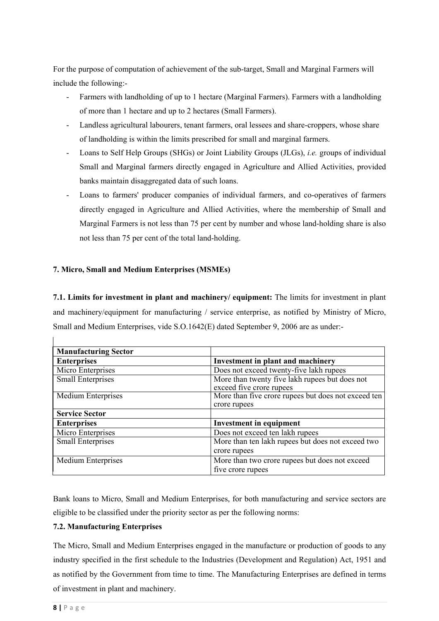For the purpose of computation of achievement of the sub-target, Small and Marginal Farmers will include the following:-

- Farmers with landholding of up to 1 hectare (Marginal Farmers). Farmers with a landholding of more than 1 hectare and up to 2 hectares (Small Farmers).
- Landless agricultural labourers, tenant farmers, oral lessees and share-croppers, whose share of landholding is within the limits prescribed for small and marginal farmers.
- Loans to Self Help Groups (SHGs) or Joint Liability Groups (JLGs), *i.e.* groups of individual Small and Marginal farmers directly engaged in Agriculture and Allied Activities, provided banks maintain disaggregated data of such loans.
- Loans to farmers' producer companies of individual farmers, and co-operatives of farmers directly engaged in Agriculture and Allied Activities, where the membership of Small and Marginal Farmers is not less than 75 per cent by number and whose land-holding share is also not less than 75 per cent of the total land-holding.

# **7. Micro, Small and Medium Enterprises (MSMEs)**

**7.1. Limits for investment in plant and machinery/ equipment:** The limits for investment in plant and machinery/equipment for manufacturing / service enterprise, as notified by Ministry of Micro, Small and Medium Enterprises, vide S.O.1642(E) dated September 9, 2006 are as under:-

| <b>Manufacturing Sector</b> |                                                     |  |
|-----------------------------|-----------------------------------------------------|--|
| <b>Enterprises</b>          | Investment in plant and machinery                   |  |
| Micro Enterprises           | Does not exceed twenty-five lakh rupees             |  |
| <b>Small Enterprises</b>    | More than twenty five lakh rupees but does not      |  |
|                             | exceed five crore rupees                            |  |
| Medium Enterprises          | More than five crore rupees but does not exceed ten |  |
|                             | crore rupees                                        |  |
| <b>Service Sector</b>       |                                                     |  |
| <b>Enterprises</b>          | <b>Investment in equipment</b>                      |  |
| Micro Enterprises           | Does not exceed ten lakh rupees                     |  |
| <b>Small Enterprises</b>    | More than ten lakh rupees but does not exceed two   |  |
|                             | crore rupees                                        |  |
| Medium Enterprises          | More than two crore rupees but does not exceed      |  |
|                             | five crore rupees                                   |  |

Bank loans to Micro, Small and Medium Enterprises, for both manufacturing and service sectors are eligible to be classified under the priority sector as per the following norms:

# **7.2. Manufacturing Enterprises**

The Micro, Small and Medium Enterprises engaged in the manufacture or production of goods to any industry specified in the first schedule to the Industries (Development and Regulation) Act, 1951 and as notified by the Government from time to time. The Manufacturing Enterprises are defined in terms of investment in plant and machinery.

 $\overline{1}$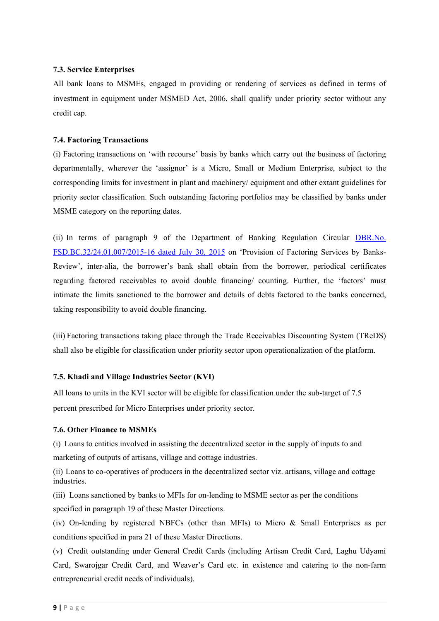## **7.3. Service Enterprises**

All bank loans to MSMEs, engaged in providing or rendering of services as defined in terms of investment in equipment under MSMED Act, 2006, shall qualify under priority sector without any credit cap.

## **7.4. Factoring Transactions**

(i) Factoring transactions on 'with recourse' basis by banks which carry out the business of factoring departmentally, wherever the 'assignor' is a Micro, Small or Medium Enterprise, subject to the corresponding limits for investment in plant and machinery/ equipment and other extant guidelines for priority sector classification. Such outstanding factoring portfolios may be classified by banks under MSME category on the reporting dates.

(ii) In terms of paragraph 9 of the Department of Banking Regulation Circular [DBR.No.](https://www.rbi.org.in/Scripts/NotificationUser.aspx?Id=9965&Mode=0) [FSD.BC.32/24.01.007/2015-16 dated](https://www.rbi.org.in/Scripts/NotificationUser.aspx?Id=9965&Mode=0) July 30, 2015 on 'Provision of Factoring Services by Banks-Review', inter-alia, the borrower's bank shall obtain from the borrower, periodical certificates regarding factored receivables to avoid double financing/ counting. Further, the 'factors' must intimate the limits sanctioned to the borrower and details of debts factored to the banks concerned, taking responsibility to avoid double financing.

(iii) Factoring transactions taking place through the Trade Receivables Discounting System (TReDS) shall also be eligible for classification under priority sector upon operationalization of the platform.

# **7.5. Khadi and Village Industries Sector (KVI)**

All loans to units in the KVI sector will be eligible for classification under the sub-target of 7.5 percent prescribed for Micro Enterprises under priority sector.

#### **7.6. Other Finance to MSMEs**

(i) Loans to entities involved in assisting the decentralized sector in the supply of inputs to and marketing of outputs of artisans, village and cottage industries.

(ii) Loans to co-operatives of producers in the decentralized sector viz. artisans, village and cottage industries.

(iii) Loans sanctioned by banks to MFIs for on-lending to MSME sector as per the conditions specified in paragraph 19 of these Master Directions.

(iv) On-lending by registered NBFCs (other than MFIs) to Micro & Small Enterprises as per conditions specified in para 21 of these Master Directions.

(v) Credit outstanding under General Credit Cards (including Artisan Credit Card, Laghu Udyami Card, Swarojgar Credit Card, and Weaver's Card etc. in existence and catering to the non-farm entrepreneurial credit needs of individuals).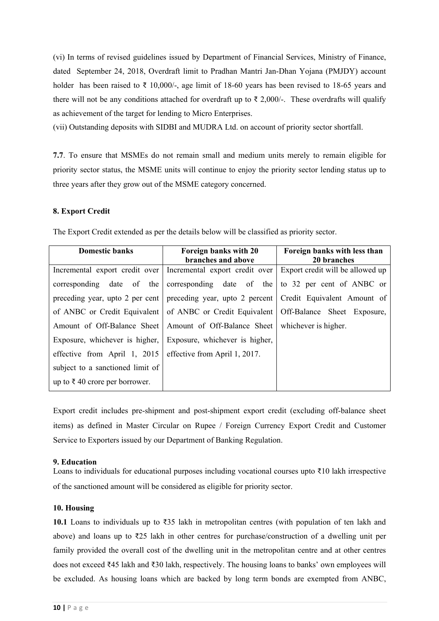(vi) In terms of revised guidelines issued by Department of Financial Services, Ministry of Finance, dated September 24, 2018, Overdraft limit to Pradhan Mantri Jan-Dhan Yojana (PMJDY) account holder has been raised to ₹ 10,000/-, age limit of 18-60 years has been revised to 18-65 years and there will not be any conditions attached for overdraft up to  $\bar{\xi}$  2,000/-. These overdrafts will qualify as achievement of the target for lending to Micro Enterprises.

(vii) Outstanding deposits with SIDBI and MUDRA Ltd. on account of priority sector shortfall.

**7.7**. To ensure that MSMEs do not remain small and medium units merely to remain eligible for priority sector status, the MSME units will continue to enjoy the priority sector lending status up to three years after they grow out of the MSME category concerned.

# **8. Export Credit**

| <b>Domestic banks</b>                    | Foreign banks with 20<br>branches and above                                                    | Foreign banks with less than<br>20 branches |  |
|------------------------------------------|------------------------------------------------------------------------------------------------|---------------------------------------------|--|
|                                          | Incremental export credit over   Incremental export credit over                                | Export credit will be allowed up            |  |
|                                          | corresponding date of the corresponding date of the                                            | to 32 per cent of ANBC or                   |  |
|                                          | preceding year, upto 2 per cent   preceding year, upto 2 percent   Credit Equivalent Amount of |                                             |  |
| of ANBC or Credit Equivalent             | of ANBC or Credit Equivalent   Off-Balance Sheet Exposure,                                     |                                             |  |
|                                          | Amount of Off-Balance Sheet   Amount of Off-Balance Sheet                                      | whichever is higher.                        |  |
|                                          | Exposure, whichever is higher, Exposure, whichever is higher,                                  |                                             |  |
| effective from April 1, 2015             | effective from April 1, 2017.                                                                  |                                             |  |
| subject to a sanctioned limit of         |                                                                                                |                                             |  |
| up to $\bar{\xi}$ 40 crore per borrower. |                                                                                                |                                             |  |

The Export Credit extended as per the details below will be classified as priority sector.

Export credit includes pre-shipment and post-shipment export credit (excluding off-balance sheet items) as defined in Master Circular on Rupee / Foreign Currency Export Credit and Customer Service to Exporters issued by our Department of Banking Regulation.

# **9. Education**

Loans to individuals for educational purposes including vocational courses upto ₹10 lakh irrespective of the sanctioned amount will be considered as eligible for priority sector.

# **10. Housing**

**10.1** Loans to individuals up to ₹35 lakh in metropolitan centres (with population of ten lakh and above) and loans up to ₹25 lakh in other centres for purchase/construction of a dwelling unit per family provided the overall cost of the dwelling unit in the metropolitan centre and at other centres does not exceed ₹45 lakh and ₹30 lakh, respectively. The housing loans to banks' own employees will be excluded. As housing loans which are backed by long term bonds are exempted from ANBC,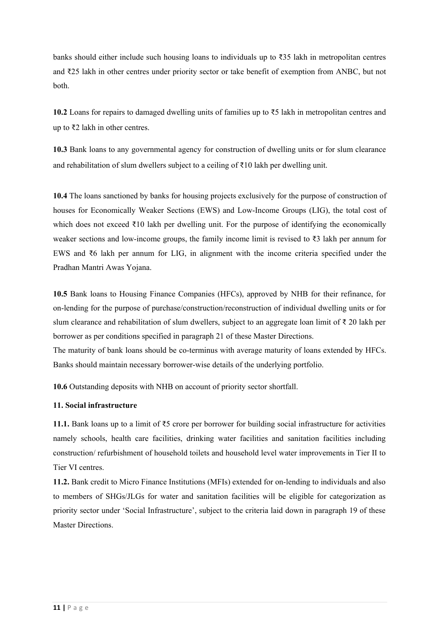banks should either include such housing loans to individuals up to ₹35 lakh in metropolitan centres and ₹25 lakh in other centres under priority sector or take benefit of exemption from ANBC, but not both.

**10.2** Loans for repairs to damaged dwelling units of families up to ₹5 lakh in metropolitan centres and up to ₹2 lakh in other centres.

**10.3** Bank loans to any governmental agency for construction of dwelling units or for slum clearance and rehabilitation of slum dwellers subject to a ceiling of ₹10 lakh per dwelling unit.

**10.4** The loans sanctioned by banks for housing projects exclusively for the purpose of construction of houses for Economically Weaker Sections (EWS) and Low-Income Groups (LIG), the total cost of which does not exceed ₹10 lakh per dwelling unit. For the purpose of identifying the economically weaker sections and low-income groups, the family income limit is revised to ₹3 lakh per annum for EWS and ₹6 lakh per annum for LIG, in alignment with the income criteria specified under the Pradhan Mantri Awas Yojana.

**10.5** Bank loans to Housing Finance Companies (HFCs), approved by NHB for their refinance, for on-lending for the purpose of purchase/construction/reconstruction of individual dwelling units or for slum clearance and rehabilitation of slum dwellers, subject to an aggregate loan limit of ₹ 20 lakh per borrower as per conditions specified in paragraph 21 of these Master Directions.

The maturity of bank loans should be co-terminus with average maturity of loans extended by HFCs. Banks should maintain necessary borrower-wise details of the underlying portfolio.

**10.6** Outstanding deposits with NHB on account of priority sector shortfall.

#### **11. Social infrastructure**

**11.1.** Bank loans up to a limit of ₹5 crore per borrower for building social infrastructure for activities namely schools, health care facilities, drinking water facilities and sanitation facilities including construction/ refurbishment of household toilets and household level water improvements in Tier II to Tier VI centres.

**11.2.** Bank credit to Micro Finance Institutions (MFIs) extended for on-lending to individuals and also to members of SHGs/JLGs for water and sanitation facilities will be eligible for categorization as priority sector under 'Social Infrastructure', subject to the criteria laid down in paragraph 19 of these Master Directions.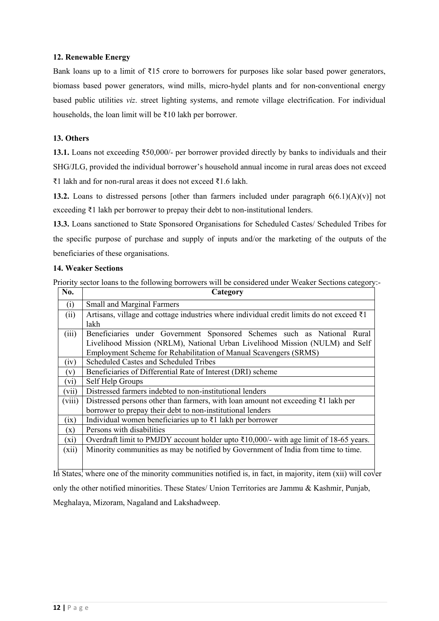## **12. Renewable Energy**

Bank loans up to a limit of ₹15 crore to borrowers for purposes like solar based power generators, biomass based power generators, wind mills, micro-hydel plants and for non-conventional energy based public utilities *viz*. street lighting systems, and remote village electrification. For individual households, the loan limit will be ₹10 lakh per borrower.

#### **13. Others**

**13.1.** Loans not exceeding ₹50,000/- per borrower provided directly by banks to individuals and their SHG/JLG, provided the individual borrower's household annual income in rural areas does not exceed ₹1 lakh and for non-rural areas it does not exceed ₹1.6 lakh.

**13.2.** Loans to distressed persons [other than farmers included under paragraph  $6(6.1)(A)(v)$ ] not exceeding ₹1 lakh per borrower to prepay their debt to non-institutional lenders.

**13.3.** Loans sanctioned to State Sponsored Organisations for Scheduled Castes/ Scheduled Tribes for the specific purpose of purchase and supply of inputs and/or the marketing of the outputs of the beneficiaries of these organisations.

## **14. Weaker Sections**

Priority sector loans to the following borrowers will be considered under Weaker Sections category:-

| No.     | Category                                                                                              |  |  |  |
|---------|-------------------------------------------------------------------------------------------------------|--|--|--|
| (i)     | <b>Small and Marginal Farmers</b>                                                                     |  |  |  |
| (ii)    | Artisans, village and cottage industries where individual credit limits do not exceed ₹1              |  |  |  |
|         | lakh                                                                                                  |  |  |  |
| (iii)   | Beneficiaries under Government Sponsored Schemes such as National Rural                               |  |  |  |
|         | Livelihood Mission (NRLM), National Urban Livelihood Mission (NULM) and Self                          |  |  |  |
|         | Employment Scheme for Rehabilitation of Manual Scavengers (SRMS)                                      |  |  |  |
| (iv)    | Scheduled Castes and Scheduled Tribes                                                                 |  |  |  |
| (v)     | Beneficiaries of Differential Rate of Interest (DRI) scheme                                           |  |  |  |
| $(v_i)$ | Self Help Groups                                                                                      |  |  |  |
| (vii)   | Distressed farmers indebted to non-institutional lenders                                              |  |  |  |
| (viii)  | Distressed persons other than farmers, with loan amount not exceeding $\bar{\tau}$ 1 lakh per         |  |  |  |
|         | borrower to prepay their debt to non-institutional lenders                                            |  |  |  |
| (ix)    | Individual women beneficiaries up to $\bar{\tau}$ 1 lakh per borrower                                 |  |  |  |
| (x)     | Persons with disabilities                                                                             |  |  |  |
| $(x_i)$ | Overdraft limit to PMJDY account holder upto $\overline{\xi}10,000/$ - with age limit of 18-65 years. |  |  |  |
| (xii)   | Minority communities as may be notified by Government of India from time to time.                     |  |  |  |
|         |                                                                                                       |  |  |  |
|         |                                                                                                       |  |  |  |

In States, where one of the minority communities notified is, in fact, in majority, item (xii) will cover only the other notified minorities. These States/ Union Territories are Jammu & Kashmir, Punjab, Meghalaya, Mizoram, Nagaland and Lakshadweep.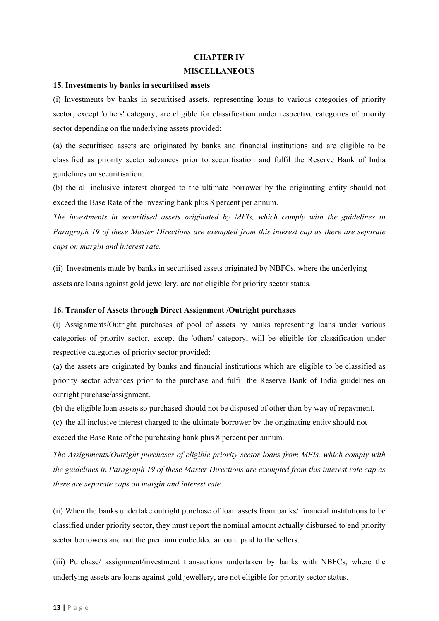#### **CHAPTER IV**

#### **MISCELLANEOUS**

#### **15. Investments by banks in securitised assets**

(i) Investments by banks in securitised assets, representing loans to various categories of priority sector, except 'others' category, are eligible for classification under respective categories of priority sector depending on the underlying assets provided:

(a) the securitised assets are originated by banks and financial institutions and are eligible to be classified as priority sector advances prior to securitisation and fulfil the Reserve Bank of India guidelines on securitisation.

(b) the all inclusive interest charged to the ultimate borrower by the originating entity should not exceed the Base Rate of the investing bank plus 8 percent per annum.

*The investments in securitised assets originated by MFIs, which comply with the guidelines in Paragraph 19 of these Master Directions are exempted from this interest cap as there are separate caps on margin and interest rate.*

(ii) Investments made by banks in securitised assets originated by NBFCs, where the underlying assets are loans against gold jewellery, are not eligible for priority sector status.

#### **16. Transfer of Assets through Direct Assignment /Outright purchases**

(i) Assignments/Outright purchases of pool of assets by banks representing loans under various categories of priority sector, except the 'others' category, will be eligible for classification under respective categories of priority sector provided:

(a) the assets are originated by banks and financial institutions which are eligible to be classified as priority sector advances prior to the purchase and fulfil the Reserve Bank of India guidelines on outright purchase/assignment.

(b) the eligible loan assets so purchased should not be disposed of other than by way of repayment.

(c) the all inclusive interest charged to the ultimate borrower by the originating entity should not exceed the Base Rate of the purchasing bank plus 8 percent per annum.

*The Assignments/Outright purchases of eligible priority sector loans from MFIs, which comply with the guidelines in Paragraph 19 of these Master Directions are exempted from this interest rate cap as there are separate caps on margin and interest rate.*

(ii) When the banks undertake outright purchase of loan assets from banks/ financial institutions to be classified under priority sector, they must report the nominal amount actually disbursed to end priority sector borrowers and not the premium embedded amount paid to the sellers.

(iii) Purchase/ assignment/investment transactions undertaken by banks with NBFCs, where the underlying assets are loans against gold jewellery, are not eligible for priority sector status.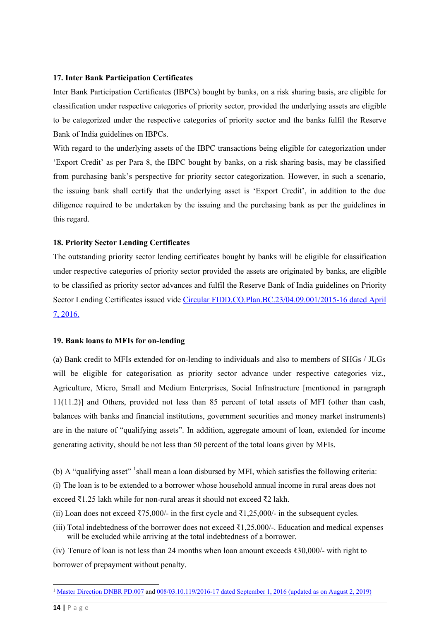#### **17. Inter Bank Participation Certificates**

Inter Bank Participation Certificates (IBPCs) bought by banks, on a risk sharing basis, are eligible for classification under respective categories of priority sector, provided the underlying assets are eligible to be categorized under the respective categories of priority sector and the banks fulfil the Reserve Bank of India guidelines on IBPCs.

With regard to the underlying assets of the IBPC transactions being eligible for categorization under 'Export Credit' as per Para 8, the IBPC bought by banks, on a risk sharing basis, may be classified from purchasing bank's perspective for priority sector categorization. However, in such a scenario, the issuing bank shall certify that the underlying asset is 'Export Credit', in addition to the due diligence required to be undertaken by the issuing and the purchasing bank as per the guidelines in this regard.

#### **18. Priority Sector Lending Certificates**

The outstanding priority sector lending certificates bought by banks will be eligible for classification under respective categories of priority sector provided the assets are originated by banks, are eligible to be classified as priority sector advances and fulfil the Reserve Bank of India guidelines on Priority Sector Lending Certificates issued vide [Circular FIDD.CO.Plan.BC.23/04.09.001/2015-16 dated April](https://www.rbi.org.in/Scripts/NotificationUser.aspx?Id=10339&Mode=0) [7, 2016.](https://www.rbi.org.in/Scripts/NotificationUser.aspx?Id=10339&Mode=0)

#### **19. Bank loans to MFIs for on-lending**

(a) Bank credit to MFIs extended for on-lending to individuals and also to members of SHGs / JLGs will be eligible for categorisation as priority sector advance under respective categories viz., Agriculture, Micro, Small and Medium Enterprises, Social Infrastructure [mentioned in paragraph 11(11.2)] and Others, provided not less than 85 percent of total assets of MFI (other than cash, balances with banks and financial institutions, government securities and money market instruments) are in the nature of "qualifying assets". In addition, aggregate amount of loan, extended for income generating activity, should be not less than 50 percent of the total loans given by MFIs.

(b) A "qualifying asset" <sup>[1](#page-13-0)</sup>shall mean a loan disbursed by MFI, which satisfies the following criteria:

(i) The loan is to be extended to a borrower whose household annual income in rural areas does not exceed ₹1.25 lakh while for non-rural areas it should not exceed ₹2 lakh.

- (ii) Loan does not exceed  $\overline{575,000'}$  in the first cycle and  $\overline{51,25,000'}$  in the subsequent cycles.
- (iii) Total indebtedness of the borrower does not exceed  $\bar{\tau}1,25,000/$ -. Education and medical expenses will be excluded while arriving at the total indebtedness of a borrower.

(iv) Tenure of loan is not less than 24 months when loan amount exceeds ₹30,000/- with right to borrower of prepayment without penalty.

**.** 

<span id="page-13-0"></span><sup>1</sup> [Master Direction DNBR PD.007](https://www.rbi.org.in/Scripts/BS_ViewMasDirections.aspx?id=10585) an[d 008/03.10.119/2016-17 dated September 1, 2016 \(updated as on August 2, 2019\)](https://www.rbi.org.in/Scripts/BS_ViewMasDirections.aspx?id=10586)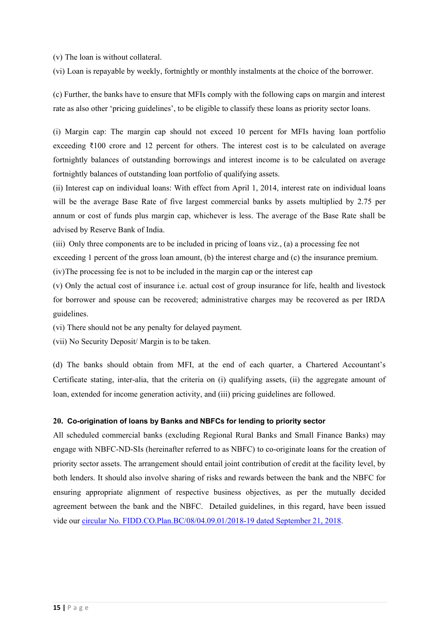(v) The loan is without collateral.

(vi) Loan is repayable by weekly, fortnightly or monthly instalments at the choice of the borrower.

(c) Further, the banks have to ensure that MFIs comply with the following caps on margin and interest rate as also other 'pricing guidelines', to be eligible to classify these loans as priority sector loans.

(i) Margin cap: The margin cap should not exceed 10 percent for MFIs having loan portfolio exceeding  $\bar{\tau}100$  crore and 12 percent for others. The interest cost is to be calculated on average fortnightly balances of outstanding borrowings and interest income is to be calculated on average fortnightly balances of outstanding loan portfolio of qualifying assets.

(ii) Interest cap on individual loans: With effect from April 1, 2014, interest rate on individual loans will be the average Base Rate of five largest commercial banks by assets multiplied by 2.75 per annum or cost of funds plus margin cap, whichever is less. The average of the Base Rate shall be advised by Reserve Bank of India.

(iii) Only three components are to be included in pricing of loans viz., (a) a processing fee not

exceeding 1 percent of the gross loan amount, (b) the interest charge and (c) the insurance premium.

(iv)The processing fee is not to be included in the margin cap or the interest cap

(v) Only the actual cost of insurance i.e. actual cost of group insurance for life, health and livestock for borrower and spouse can be recovered; administrative charges may be recovered as per IRDA guidelines.

(vi) There should not be any penalty for delayed payment.

(vii) No Security Deposit/ Margin is to be taken.

(d) The banks should obtain from MFI, at the end of each quarter, a Chartered Accountant's Certificate stating, inter-alia, that the criteria on (i) qualifying assets, (ii) the aggregate amount of loan, extended for income generation activity, and (iii) pricing guidelines are followed.

#### **20. Co-origination of loans by Banks and NBFCs for lending to priority sector**

All scheduled commercial banks (excluding Regional Rural Banks and Small Finance Banks) may engage with NBFC-ND-SIs (hereinafter referred to as NBFC) to co-originate loans for the creation of priority sector assets. The arrangement should entail joint contribution of credit at the facility level, by both lenders. It should also involve sharing of risks and rewards between the bank and the NBFC for ensuring appropriate alignment of respective business objectives, as per the mutually decided agreement between the bank and the NBFC. Detailed guidelines, in this regard, have been issued vide our [circular No. FIDD.CO.Plan.BC/08/04.09.01/2018-19 dated September 21, 2018.](https://www.rbi.org.in/Scripts/NotificationUser.aspx?Id=11376&Mode=0)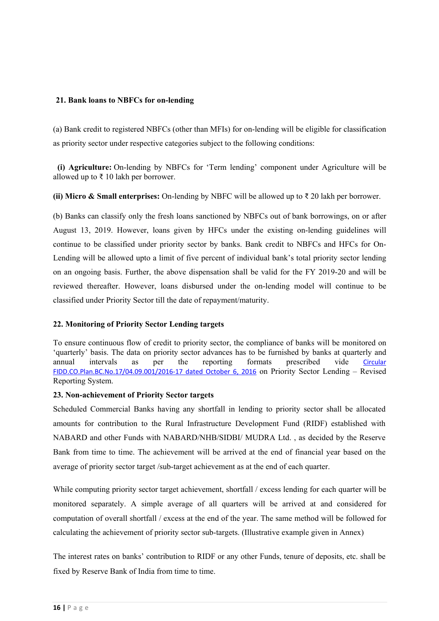#### **21. Bank loans to NBFCs for on-lending**

(a) Bank credit to registered NBFCs (other than MFIs) for on-lending will be eligible for classification as priority sector under respective categories subject to the following conditions:

**(i) Agriculture:** On-lending by NBFCs for 'Term lending' component under Agriculture will be allowed up to ₹ 10 lakh per borrower.

**(ii) Micro & Small enterprises:** On-lending by NBFC will be allowed up to ₹ 20 lakh per borrower.

(b) Banks can classify only the fresh loans sanctioned by NBFCs out of bank borrowings, on or after August 13, 2019. However, loans given by HFCs under the existing on-lending guidelines will continue to be classified under priority sector by banks. Bank credit to NBFCs and HFCs for On-Lending will be allowed upto a limit of five percent of individual bank's total priority sector lending on an ongoing basis. Further, the above dispensation shall be valid for the FY 2019-20 and will be reviewed thereafter. However, loans disbursed under the on-lending model will continue to be classified under Priority Sector till the date of repayment/maturity.

# **22. Monitoring of Priority Sector Lending targets**

To ensure continuous flow of credit to priority sector, the compliance of banks will be monitored on 'quarterly' basis. The data on priority sector advances has to be furnished by banks at quarterly and annual intervals as per the reporting formats prescribed vide [Circular](https://www.rbi.org.in/Scripts/NotificationUser.aspx?Id=10634&Mode=0) [FIDD.CO.Plan.BC.No.17/04.09.001/2016-17 dated October 6, 2016](https://www.rbi.org.in/Scripts/NotificationUser.aspx?Id=10634&Mode=0) on Priority Sector Lending – Revised Reporting System.

#### **23. Non-achievement of Priority Sector targets**

Scheduled Commercial Banks having any shortfall in lending to priority sector shall be allocated amounts for contribution to the Rural Infrastructure Development Fund (RIDF) established with NABARD and other Funds with NABARD/NHB/SIDBI/ MUDRA Ltd. , as decided by the Reserve Bank from time to time. The achievement will be arrived at the end of financial year based on the average of priority sector target /sub-target achievement as at the end of each quarter.

While computing priority sector target achievement, shortfall / excess lending for each quarter will be monitored separately. A simple average of all quarters will be arrived at and considered for computation of overall shortfall / excess at the end of the year. The same method will be followed for calculating the achievement of priority sector sub-targets. (Illustrative example given in Annex)

The interest rates on banks' contribution to RIDF or any other Funds, tenure of deposits, etc. shall be fixed by Reserve Bank of India from time to time.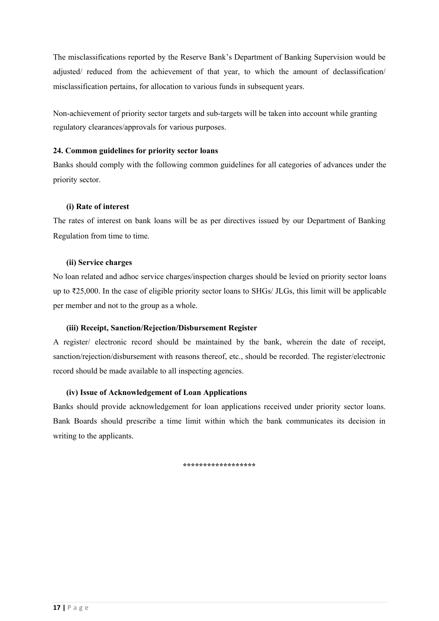The misclassifications reported by the Reserve Bank's Department of Banking Supervision would be adjusted/ reduced from the achievement of that year, to which the amount of declassification/ misclassification pertains, for allocation to various funds in subsequent years.

Non-achievement of priority sector targets and sub-targets will be taken into account while granting regulatory clearances/approvals for various purposes.

## **24. Common guidelines for priority sector loans**

Banks should comply with the following common guidelines for all categories of advances under the priority sector.

## **(i) Rate of interest**

The rates of interest on bank loans will be as per directives issued by our Department of Banking Regulation from time to time.

## **(ii) Service charges**

No loan related and adhoc service charges/inspection charges should be levied on priority sector loans up to ₹25,000. In the case of eligible priority sector loans to SHGs/ JLGs, this limit will be applicable per member and not to the group as a whole.

# **(iii) Receipt, Sanction/Rejection/Disbursement Register**

A register/ electronic record should be maintained by the bank, wherein the date of receipt, sanction/rejection/disbursement with reasons thereof, etc., should be recorded. The register/electronic record should be made available to all inspecting agencies.

# **(iv) Issue of Acknowledgement of Loan Applications**

Banks should provide acknowledgement for loan applications received under priority sector loans. Bank Boards should prescribe a time limit within which the bank communicates its decision in writing to the applicants.

**\*\*\*\*\*\*\*\*\*\*\*\*\*\*\*\*\*\***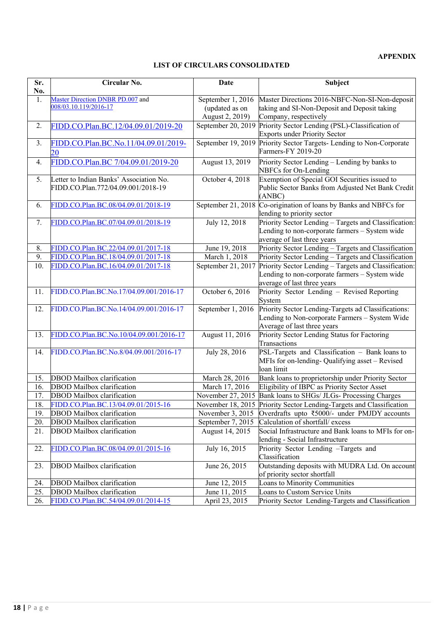## **APPENDIX**

## **LIST OF CIRCULARS CONSOLIDATED**

| Sr. | Circular No.                                              | Date                | Subject                                                                                    |  |
|-----|-----------------------------------------------------------|---------------------|--------------------------------------------------------------------------------------------|--|
| No. |                                                           |                     |                                                                                            |  |
| 1.  | Master Direction DNBR PD.007 and<br>008/03.10.119/2016-17 | September 1, 2016   | Master Directions 2016-NBFC-Non-SI-Non-deposit                                             |  |
|     |                                                           | (updated as on      | taking and SI-Non-Deposit and Deposit taking                                               |  |
|     |                                                           | August 2, 2019)     | Company, respectively                                                                      |  |
| 2.  | FIDD.CO.Plan.BC.12/04.09.01/2019-20                       | September 20, 2019  | Priority Sector Lending (PSL)-Classification of                                            |  |
|     |                                                           |                     | <b>Exports under Priority Sector</b>                                                       |  |
| 3.  | FIDD.CO.Plan.BC.No.11/04.09.01/2019-                      |                     | September 19, 2019 Priority Sector Targets- Lending to Non-Corporate<br>Farmers-FY 2019-20 |  |
|     | 20                                                        |                     |                                                                                            |  |
| 4.  | FIDD.CO.Plan.BC 7/04.09.01/2019-20                        | August 13, 2019     | Priority Sector Lending - Lending by banks to                                              |  |
|     |                                                           |                     | NBFCs for On-Lending                                                                       |  |
| 5.  | Letter to Indian Banks' Association No.                   | October 4, 2018     | Exemption of Special GOI Securities issued to                                              |  |
|     | FIDD.CO.Plan.772/04.09.001/2018-19                        |                     | Public Sector Banks from Adjusted Net Bank Credit                                          |  |
|     |                                                           |                     | (ANBC)                                                                                     |  |
| 6.  | FIDD.CO.Plan.BC.08/04.09.01/2018-19                       | September 21, 2018  | Co-origination of loans by Banks and NBFCs for                                             |  |
| 7.  | FIDD.CO.Plan.BC.07/04.09.01/2018-19                       | July 12, 2018       | lending to priority sector<br>Priority Sector Lending - Targets and Classification:        |  |
|     |                                                           |                     | Lending to non-corporate farmers - System wide                                             |  |
|     |                                                           |                     | average of last three years                                                                |  |
| 8.  | FIDD.CO.Plan.BC.22/04.09.01/2017-18                       | June 19, 2018       | Priority Sector Lending - Targets and Classification                                       |  |
| 9.  | FIDD.CO.Plan.BC.18/04.09.01/2017-18                       | March 1, 2018       | Priority Sector Lending - Targets and Classification                                       |  |
| 10. | FIDD.CO.Plan.BC.16/04.09.01/2017-18                       | September 21, 2017  | Priority Sector Lending - Targets and Classification:                                      |  |
|     |                                                           |                     | Lending to non-corporate farmers - System wide                                             |  |
|     |                                                           |                     | average of last three years                                                                |  |
| 11. | FIDD.CO.Plan.BC.No.17/04.09.001/2016-17                   | October 6, 2016     | Priority Sector Lending - Revised Reporting                                                |  |
|     |                                                           |                     | System                                                                                     |  |
| 12. | FIDD.CO.Plan.BC.No.14/04.09.001/2016-17                   | September $1, 2016$ | Priority Sector Lending-Targets ad Classifications:                                        |  |
|     |                                                           |                     | Lending to Non-corporate Farmers - System Wide                                             |  |
|     |                                                           |                     | Average of last three years                                                                |  |
| 13. | FIDD.CO.Plan.BC.No.10/04.09.001/2016-17                   | August 11, 2016     | Priority Sector Lending Status for Factoring                                               |  |
|     |                                                           |                     | Transactions                                                                               |  |
| 14. | FIDD.CO.Plan.BC.No.8/04.09.001/2016-17                    | July 28, 2016       | PSL-Targets and Classification - Bank loans to                                             |  |
|     |                                                           |                     | MFIs for on-lending- Qualifying asset - Revised                                            |  |
|     |                                                           |                     | loan limit                                                                                 |  |
| 15. | <b>DBOD</b> Mailbox clarification                         | March 28, 2016      | Bank loans to proprietorship under Priority Sector                                         |  |
| 16. | <b>DBOD</b> Mailbox clarification                         | March 17, 2016      | Eligibility of IBPC as Priority Sector Asset                                               |  |
| 17. | <b>DBOD</b> Mailbox clarification                         | November 27, 2015   | Bank loans to SHGs/ JLGs- Processing Charges                                               |  |
| 18. | FIDD.CO.Plan.BC.13/04.09.01/2015-16                       |                     | November 18, 2015 Priority Sector Lending-Targets and Classification                       |  |
| 19. | DBOD Mailbox clarification                                | November 3, 2015    | Overdrafts upto ₹5000/- under PMJDY accounts                                               |  |
| 20. | <b>DBOD</b> Mailbox clarification                         | September 7, 2015   | Calculation of shortfall/ excess                                                           |  |
| 21. | <b>DBOD</b> Mailbox clarification                         | August 14, 2015     | Social Infrastructure and Bank loans to MFIs for on-                                       |  |
|     |                                                           |                     | lending - Social Infrastructure                                                            |  |
| 22. | FIDD.CO.Plan.BC.08/04.09.01/2015-16                       | July 16, 2015       | Priority Sector Lending -Targets and                                                       |  |
|     |                                                           |                     | Classification                                                                             |  |
| 23. | DBOD Mailbox clarification                                | June 26, 2015       | Outstanding deposits with MUDRA Ltd. On account                                            |  |
|     |                                                           |                     | of priority sector shortfall                                                               |  |
| 24. | DBOD Mailbox clarification                                | June 12, 2015       | Loans to Minority Communities                                                              |  |
| 25. | <b>DBOD</b> Mailbox clarification                         | June 11, 2015       | Loans to Custom Service Units                                                              |  |
| 26. | FIDD.CO.Plan.BC.54/04.09.01/2014-15                       | April 23, 2015      | Priority Sector Lending-Targets and Classification                                         |  |